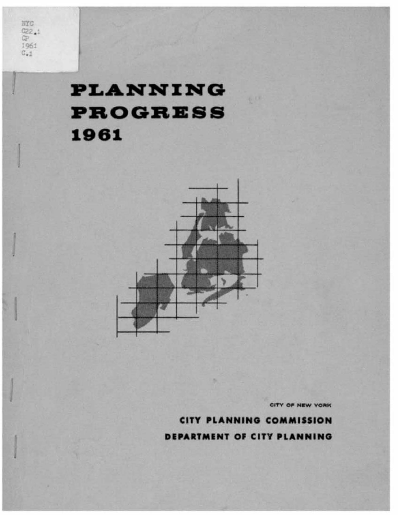NYC  $rac{C22.1}{C2}$ 1961  $C_{-1}$ 

# **PLANNING PROGRESS** 1961



CITY OF NEW YORK

# **CITY PLANNING COMMISSION**

DEPARTMENT OF CITY PLANNING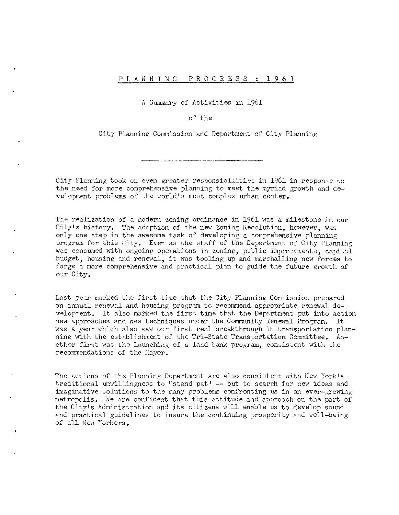# PLANNING PROGRESS : 1961

A Summary of Activities in 1961

# of the

City Planning Commission and Department of City Planning

City Planning took on even greater responsibilities in 1961 in response to the need for more comprehensive planning to meet the myriad growth and development problems of the world's most complex urban center.

The realization of a modern zoning ordinance in 1961 was a milestone in our City's history. The adoption of the new Zoning Resolution, however, was only one step in the awesome task of developing a comprehensive planning program for this City. Even as the staff of the Department of City Planning was consumed with ongoing operations in zoning, public improvements, capital budget, housing and renewal, it was tooling up and marshalling new forces to forge a more comprehensive and practical plan to guide the future growth of our City.

Last year marked the first time that the City Planning Commission prepared an annual renewal and housing program to recommend appropriate renewal development. It also marked the first time that the Department put into action new approaches and new techniques under the Community Renewal Program. It was a year which also saw our first real breakthrough in transportation planning with the establishment of the Tri-State Transportation Committee. Another first was the launching of a land bank program, consistent with the recommendations of the Mayor.

The actions of the Planning Department are also consistent with New York's traditional unwillingness to "stand pat" -- but to search for new ideas and imaginative solutions to the many problems confronting us in an ever-growing metropolis. We are confident that this attitude and approach on the part of the City's Administration and its citizens will enable us to develop sound and practical guidelines to insure the continuing prosperity and well-being of all New Yorkers.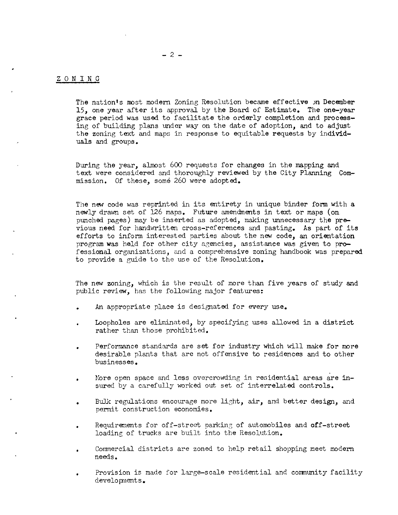# ZONING

The nation's most modern Zoning Resolution became effective )n December 15, one year after its approval by the Board of Estimate. The one-year grace period was used to facilitate the orderly completion and processing of building plans under way on the date of adoption, and to adjust the zoning text and maps in response to equitable requests by individuals and groups.

During the year, almost 600 requests for changes in the mapping and text were considered and thoroughly reviewed by the City Planning Commission. Of these, some 260 were adopted.

The new code was reprinted in its entirety in unique binder form with a newly drawn set of 126 maps. Future amendments in text or maps (on punched pages) may be inserted as adopted, making unnecessary the previous need for handwritten cross-references and pasting. As part of its efforts to inform interested parties about the new code, an orientation program was held for other city agencies, assistance was given to professional organizations, and a comprehensive zoning handbook was prepared to provide a guide to the use of the Resolution.

The new zoning, which is the result of more than five years of study and public review, has the following major features:

- An appropriate place is designated for every use.
- Loopholes are eliminated, by specifying uses allowed in a district rather than those prohibited.
- Performance standards are set for industry which will make for more desirable plants that are not offensive to residences and to other businesses.
- Hore open space and less overcrowding in residential areas are insured by a carefully worked out set of interrelated controls.
- Bulk regulations encourage more light, air, and better design, and permit construction economies.
- Requirements for off-street parking of automobiles and off-street loading of trucks are built into the Resolution.
- Commercial districts are zoned to help retail shopping meet modern needs.
- Provision is made for large-scale residential and community facility developnents.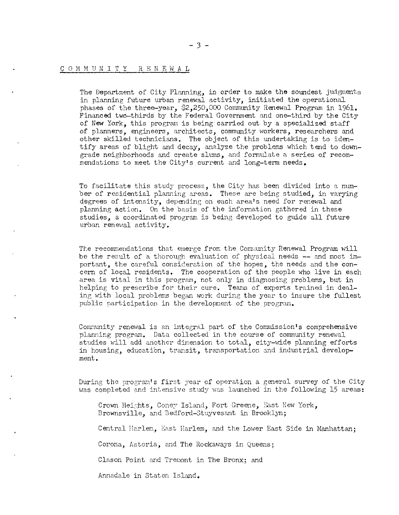# COMMUNITY RENEWAL

The Department of City Planning, in order to make the soundest judgments in planning future urban renewal activity, initiated the operational phases of the three-year, \$2,250,000 Community Renewal Program in 1961. Financed two-thirds by the Federal Government and one-third by the City of New York, this program is being' carried out by a specialized staff of planners, engineers, architects, community workers, researchers and other skilled technicians. The object of this undertaking is to identify areas of blight and decay, analyze the problems which tend to downgrade neighborhoods and create slums, and formulate a series of recommendations to meet the City's current and long-term needs.

To facilitate this study process, the City has been divided into a number of residential planning areas. These are being studied, in varying degrees of intensity, depending on each area's need for renewal and planning action. On the basis of the information gathered in these studies, a coordinated program is being developed to guide all future urban renewal activity.

The recommendations that emerge from the Community Renewal Program will be the result of a thorough evaluation of physical needs **--** and most important, the careful consideration of the hopes, the needs and the concern of local residents. The cooperation of the people who live in each area is vital in this program, not only in diagnosing problems, but in helping to prescribe for their cure. Teams of experts trained in dealing with local problems began work during the year to insure the fullest public participation in the development of the program.

Community renewal is an integral part of the Commission's comprehensive planning program. Data collected in the course of community renewal studies will add another dimension to total, city-wide planning efforts in housing, education, transit, transportation and industrial develop**ment.** 

During the program's first year of operation a general survey of the City was completed and intensive study was launched in the following 15 areas:

Crown Heights, Coney Island, Fort Greene, East New York, Brownsville, and Bedford-Stuyvesant in Brooklyn;

Central Harlem, East Harlem, and the Lower East Side in Manhattan;

Corona, Astoria, and The Rockaways in Queens;

Clason Point and Tremont in The Bronx; and

Annadale in Staten Island.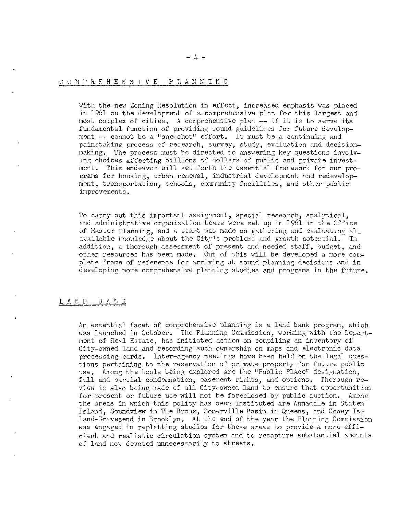### COMPREHENSIVE PLANNING

With the new Zoning Resolution in effect, increased emphasis was placed in 1961 on the development of a comprehensive plan for this largest and most complex of cities. A comprehensive plan -- if it is to serve its fundamental function of providing sound guidelines for future development -- cannot be a "one-shot" effort. It must be a continuing and painstaking process of research, survey, study, evaluation and decisionmaking. The process must be directed to answering key questions involving choices affecting billions of dollars of public and private investment. This endeavor will set forth the essential framework for our programs for housing, urban renewal, industrial development and redevelopment, transportation, schools, community facilities, and other public improvements.

To carry out this important assignment, special research, analytical, and administrative organization teams were set up in 1961 in the Office of Master Planning, and a start was made on gathering and evaluating all available knowledge about the City's problems and growth potential. In addition, a thorough assessment of present and needed staff, budget, and other resources has been made. Out of this will be developed a more complete frame of reference for arriving at sound planning decisions and in developing more comprehensive planning studies and programs in the future.

#### LAND BANK

An essential facet of comprehensive planning is a land bank program, which was launched in October. The Planning Commission, working with the Department of Real Estate, has initiated action on compiling an inventory of City-owned land and recording such ownership on maps and electronic data processing cards. Inter-agency meetings have been held on the legal questions pertaining to the reservation of private property for future public use. Among the tools being explored are the "Public Place" designation. full and partial condemnation, easement rights, and options. Thorough review is also being made of all City-owned land to ensure that opportunities for present or future use will not be foreclosed by public auction. Among the areas in which this policy has been instituted are Annadale in Staten Island, Soundview in The Bronx, Somerville Basin in Queens, and Coney Island-Gravesend in Brooklyn. At the end of the year the Planning Commission was engaged in replatting studies for these areas to provide a more efficient and realistic circulation system and to recapture substantial amounts of land now devoted unnecessarily to streets.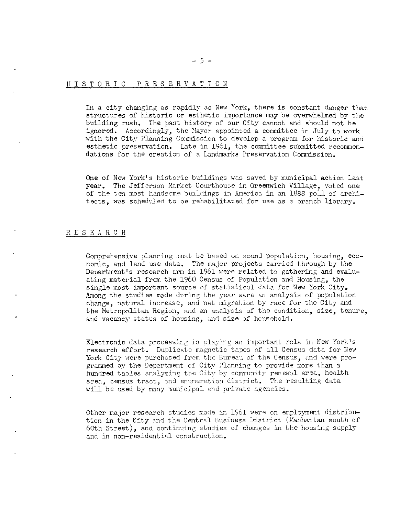# HISTORIC PRE S E R V A T ION

In a city changing as rapidly as New York, there is constant danger that structures of historic or esthetic importance may be overwhelmed by the building rush. The past history of our City cannot and should not be ignored. Accordingly, the Mayor appointed a committee in July to work with the City Planning Commission to develop a program for historic and esthetic preservation. Late in 1961, the committee submitted recommendations for the creation of a Landmarks Preservation Commission.

One of New York's historic buildings was saved by municipal action last year. The Jefferson Market Courthouse in Greenwich Village, voted one of the ten most handsome buildings in America in an 1888 poll of architects, was scheduled to be rehabilitated for use as a branch library.

# RESEARCH

Comprehensive planning must be based on sound population, housing, economic, and land use data. The major projects carried through by the Department's research arm in 1961 were related to gathering and evaluating material from the 1960 Census of Population and Housing, the single most important source of statistical data for New York City. Among the studies made during the year were an analysis of population change, natural increase, and net migration by race for the City and the Hetropolitan Region, and an analysis of the condition, size, tenure, and vacancy status of housing, and size of household.

Electronic data processing is playing an important role in New York's research effort. Duplicate magnetic tapes of all Census data for New York City were purchased from the Bureau of the Census, and were programmed by the Department of City Planning to provide more than a hundred tables analyzing the City by community renewal area, health area, census tract, and enumeration district. The resulting data will be used by many municipal and private agencies.

Other major research studies made in 1961 were on employment distribution in the City and the Central Business District (Hanhattan south of 60th Street), and continuing studies of changes in the housing supply and in non-residential construction.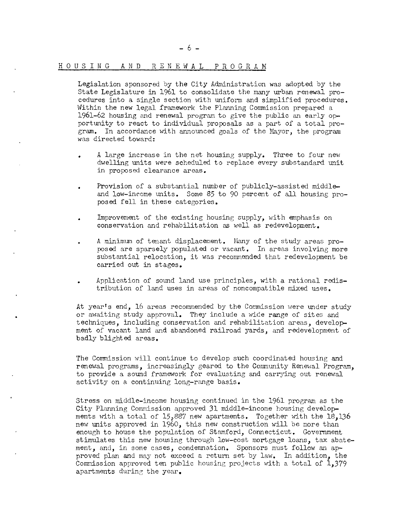## HOUSING AND RENEWAL PROGRAM

Legislation sponsored by the City Administration was adopted by the State Legislature in 1961 to consolidate the many urban renewal procedures into a single section with uniform and simplified procedures. Within the new legal framework the Planning Commission prepared a 1961-62 housing and renewal program to give the public an early opportunity to react to individual proposals as a part of a total program. In accordance with announced eoals of the Hayor, the program was directed toward:

- A large increase in the net housing supply. Three to four new dwelling units were scheduled to replace every substandard unit in proposed clearance areas.
- Provision of a substantial number of publicly-assisted middleand low-income units. Some 85 to 90 percent of all housing proposed fell in these categories.
- Improvement of the existing housing supply, with emphasis on conservation and rehabilitation as well as redevelopment.
- A minimum of tenant displacement. Many of the study areas proposed are sparsely populated or vacant. In areas involving more substantial relocation, it was recommended that redevelopment be carried out in stages.
- Application of sound land use principles, with a rational redistribution of land uses in areas of noncompatible mixed uses.

At year's end, 16 areas recommended by the Commission were under study or awaiting study approval. They include a wide range of sites and techniques, including conservation and rehabilitation areas, development of vacant land and abandoned railroad yards, and redevelopment of badly blighted areas.

The Commission will continue to develop such coordinated housing and renewal programs, increasingly geared to the Community Renewal Program. to provide a sound framework for evaluating and carrying out renewal activity on a continuing long-range basis.

Stress on middle-income housing continued in the 1961 program as the City Planning Commission approved 31 middle-income housing developments with a total of  $15,887$  new apartments. Together with the  $18,136$ new units approved in 1960, this new construction will be more than enough to house the population of Stamford, Connecticut. Government stimulates this new housing through low-cost mortgage loans, tax abatement, and, in some cases, condemnation. Sponsors must follow an approved plan and may not exceed a return set by law. In addition, the Commission approved ten public housing projects with a total of  $1,379$ apartments during the year.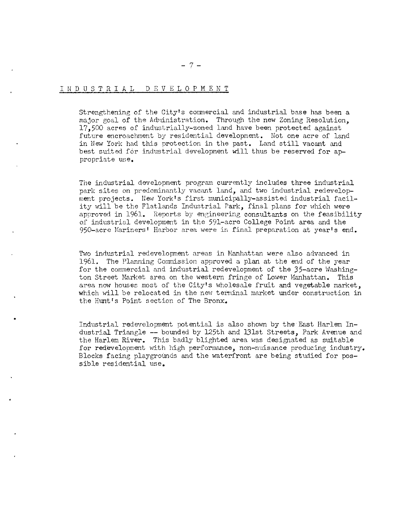# I N D U S T R I A L D E V E L O P M E N T

•

Strengthening of the City's commercial and industrial base has been a major goal of the Administration. Through the new Zoning Resolution, 17,500 acres of industrially-zoned land have been protected against future encroachment by residential development. Not one acre of land in New York had this protection in the past. Land still vacant and best suited for industrial development will thus be reserved for appropriate use.

The industrial development program currently includes three industrial park sites on predominantly vacant land, and two industrial redevelopment projects. New York's first municipally-assisted industrial facility will be the Flatlands Industrial Park, final plans for which were approved in 1961. Reports by engineering consultants on the feasibility of industrial development in the 591-acre College Point area and the 950-acre Hariners' Harbor area were in final preparation at year's end.

Two industrial redevelopment areas in Manhattan were also advanced in 1961. The Planning Commission approved a plan at the end of the year for the commercial and industrial redevelopment of the 35-acre Washington Street Market area on the western fringe of Lower Manhattan. This area now houses most of the City's wholesale fruit and vegetable market, which will be relocated in the new terminal market under construction in the Hunt's Point section of The Bronx.

Industrial redevelopment potential is also shovm by the East Harlem Industrial Triangle -- bounded by 125th and 131st Streets, Park Avenue and the Harlem River. This badly blighted area was designated as suitable for redevelopment with high performance, non-nuisance producing industry. Blocks facing playgrounds and the waterfront are being studied for possible residential use.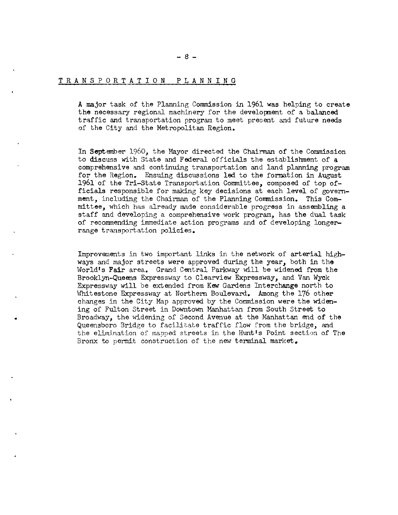# TRANSPORTATION PLANNING

•

A major task of the Planning Commission in 1961 was helping to create the necessary regional machinery for the developnent of a balanced traffic and transportation program to meet present and future needs of the City and the Metropolitan Region.

In September 1960, the Mayor directed the Chairman of the Commission to discuss with State and Federal officials the establishment of a comprehensive and continuing transportation and land planning program for the Region. Ensuing discussions led to the formation in August 1961 of the Tri-State Transportation Committee, composed of top officials responsible for making key decisions at each level of government, including the Chairman of the Planning Conmission. This Committee, which has already made considerable progress in assembling a staff and developing a comprehensive work program, has the dual task of recommending immediate action programs and of developing longerrange transportation policies.

Improvements in two important links in the network of arterial highways and major streets were approved during the year, both in the World's Fair area. Grand Central Parkway will be widened from the Brooklyn-Queens Expressway to Clearview Expressway, and Van Wyck Expressway will be extended from Kew Gardens Interchange north to Whitestone Expressway at Northern Boulevard. Among the 176 other changes in the City Map approved by the Commission were the widening of Fulton Street in Downtown Manhattan from South Street to Broadway, the widening of Second Avenue at the Manhattan end of the Queensboro Bridge to facilitate traffic flow from the bridge, and the elimination of mapped streets in the Hunt's Point section of The Bronx to permit construction of the new terminal market.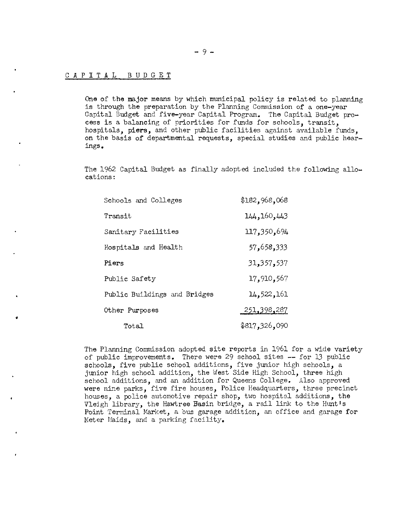# CAPITAL BUDGET

•

One of the major means by which municipal policy is related to planning is through the preparation by the Planning Commission of a one-year Capital Budget and five-year Capital Program. The Capital Budget process is a balancing of priorities for funds for schools, transit, hospitals, piers, and other public facilities against available funds, on the basis of departmental requests, special studies and public hearings.

The 1962 Capital Budget as finally adopted included the following allocations:

| Schools and Colleges         | \$182,968,068      |
|------------------------------|--------------------|
| Transit                      | 144, 160, 443      |
| Sanitary Facilities          | 117,350,694        |
| Hospitals and Health         | 57,658,333         |
| Piers                        | 31, 357, 537       |
| Public Safety                | 17,910,567         |
| Public Buildings and Bridges | 14,522,161         |
| Other Purposes               | <u>251,398,287</u> |
| Total                        | \$817,326,090      |

The Planning Commission adopted site reports in 1961 for a wide variety of public improvements. There were 29 school sites **--** for 13 public schools, five public school additions, five junior high schools, a junior high school addition, the West Side High School, three high school additions, and an addition for Queens College. Also approved were nine parks, five fire houses, Police Headquarters, three precinct houses, a police automotive repair shop, two hospital additions, the Vleigh library, the Hawtree Basin bridge, a rail link to the Hunt's Point Terminal Harket, a bus garage addition, an office and garage for Meter Maids, and a parking facility.